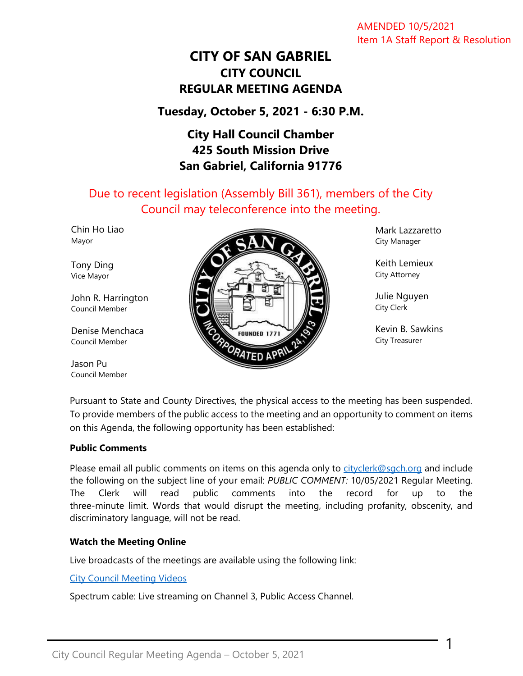AMENDED 10/5/2021 Item 1A Staff Report & Resolution

# **CITY OF SAN GABRIEL CITY COUNCIL REGULAR MEETING AGENDA**

# **Tuesday, October 5, 2021 - 6:30 P.M.**

# **City Hall Council Chamber 425 South Mission Drive San Gabriel, California 91776**

Due to recent legislation (Assembly Bill 361), members of the City Council may teleconference into the meeting.

Chin Ho Liao Mayor

Tony Ding Vice Mayor

John R. Harrington Council Member

Denise Menchaca Council Member

Jason Pu Council Member



Mark Lazzaretto City Manager

Keith Lemieux City Attorney

Julie Nguyen City Clerk

Kevin B. Sawkins City Treasurer

1

Pursuant to State and County Directives, the physical access to the meeting has been suspended. To provide members of the public access to the meeting and an opportunity to comment on items on this Agenda, the following opportunity has been established:

#### **Public Comments**

Please email all public comments on items on this agenda only to [cityclerk@sgch.org](mailto:cityclerk@sgch.org) and include the following on the subject line of your email: *PUBLIC COMMENT:* 10/05/2021 Regular Meeting. The Clerk will read public comments into the record for up to the three-minute limit. Words that would disrupt the meeting, including profanity, obscenity, and discriminatory language, will not be read.

## **Watch the Meeting Online**

Live broadcasts of the meetings are available using the following link:

[City Council Meeting Videos](https://www.youtube.com/CityofSanGabriel)

Spectrum cable: Live streaming on Channel 3, Public Access Channel.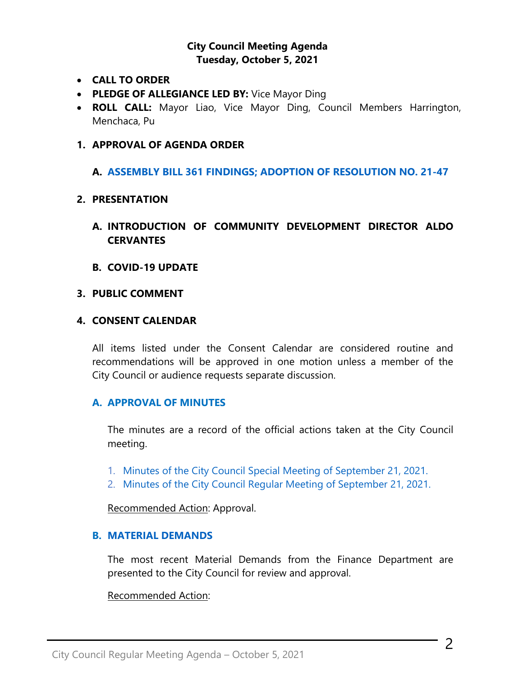## **City Council Meeting Agenda Tuesday, October 5, 2021**

- **CALL TO ORDER**
- **PLEDGE OF ALLEGIANCE LED BY:** Vice Mayor Ding
- **ROLL CALL:** Mayor Liao, Vice Mayor Ding, Council Members Harrington, Menchaca, Pu

#### **1. APPROVAL OF AGENDA ORDER**

**A. ASSEMBLY BILL [361 FINDINGS; ADOPTION OF RESOLUTION NO. 21-47](https://www.sangabrielcity.com/DocumentCenter/View/15424/2021-10-05-AB-361-Teleconferencing)**

#### **2. PRESENTATION**

- **A. INTRODUCTION OF COMMUNITY DEVELOPMENT DIRECTOR ALDO CERVANTES**
- **B. COVID-19 UPDATE**

#### **3. PUBLIC COMMENT**

#### **4. CONSENT CALENDAR**

All items listed under the Consent Calendar are considered routine and recommendations will be approved in one motion unless a member of the City Council or audience requests separate discussion.

## **A. APPROVAL OF MINUTES**

The minutes are a record of the official actions taken at the City Council meeting.

- 1. [Minutes of the City Council Special Meeting of September 21, 2021.](https://www.sangabrielcity.com/DocumentCenter/View/15404/Item-4A1---2021-09-21-Minutes---Special)
- 2. [Minutes of the City Council Regular Meeting of September 21, 2021.](https://www.sangabrielcity.com/DocumentCenter/View/15398/Item-4A2---2021-09-21-Minutes---Regular)

Recommended Action: Approval.

#### **B. [MATERIAL DEMANDS](https://www.sangabrielcity.com/DocumentCenter/View/15399/Item-4B---Material-Demands)**

The most recent Material Demands from the Finance Department are presented to the City Council for review and approval.

#### Recommended Action: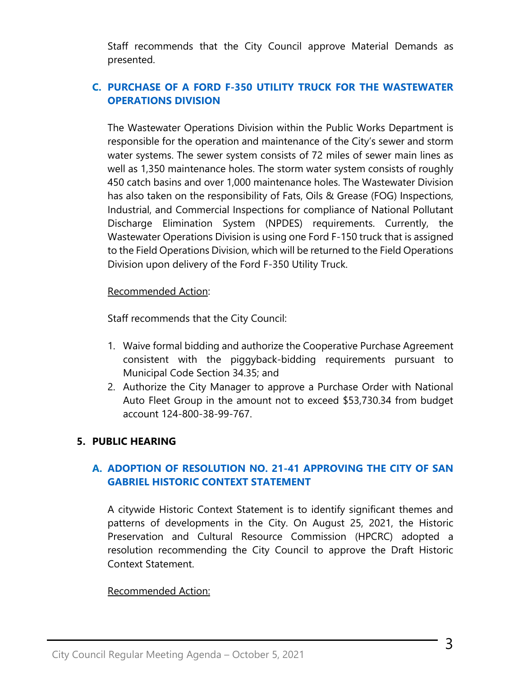Staff recommends that the City Council approve Material Demands as presented.

# **C. [PURCHASE OF A FORD F-350 UTILITY TRUCK FOR THE WASTEWATER](https://www.sangabrielcity.com/DocumentCenter/View/15400/Item-4C---Purchase-of-a-Ford-F-350-Utility-Truck-for-the-Wastewater-Operations-Division)  [OPERATIONS DIVISION](https://www.sangabrielcity.com/DocumentCenter/View/15400/Item-4C---Purchase-of-a-Ford-F-350-Utility-Truck-for-the-Wastewater-Operations-Division)**

The Wastewater Operations Division within the Public Works Department is responsible for the operation and maintenance of the City's sewer and storm water systems. The sewer system consists of 72 miles of sewer main lines as well as 1,350 maintenance holes. The storm water system consists of roughly 450 catch basins and over 1,000 maintenance holes. The Wastewater Division has also taken on the responsibility of Fats, Oils & Grease (FOG) Inspections, Industrial, and Commercial Inspections for compliance of National Pollutant Discharge Elimination System (NPDES) requirements. Currently, the Wastewater Operations Division is using one Ford F-150 truck that is assigned to the Field Operations Division, which will be returned to the Field Operations Division upon delivery of the Ford F-350 Utility Truck.

#### Recommended Action:

Staff recommends that the City Council:

- 1. Waive formal bidding and authorize the Cooperative Purchase Agreement consistent with the piggyback-bidding requirements pursuant to Municipal Code Section 34.35; and
- 2. Authorize the City Manager to approve a Purchase Order with National Auto Fleet Group in the amount not to exceed \$53,730.34 from budget account 124-800-38-99-767.

## **5. PUBLIC HEARING**

# **A. [ADOPTION OF RESOLUTION NO. 21-41 APPROVING THE CITY OF SAN](https://www.sangabrielcity.com/DocumentCenter/View/15401/Item-5A---Adoption-of-Reso-No-21-41-Approving-the-City-of-San-Gabriel-Historic-Context-Statement)  [GABRIEL HISTORIC CONTEXT STATEMENT](https://www.sangabrielcity.com/DocumentCenter/View/15401/Item-5A---Adoption-of-Reso-No-21-41-Approving-the-City-of-San-Gabriel-Historic-Context-Statement)**

A citywide Historic Context Statement is to identify significant themes and patterns of developments in the City. On August 25, 2021, the Historic Preservation and Cultural Resource Commission (HPCRC) adopted a resolution recommending the City Council to approve the Draft Historic Context Statement.

## Recommended Action: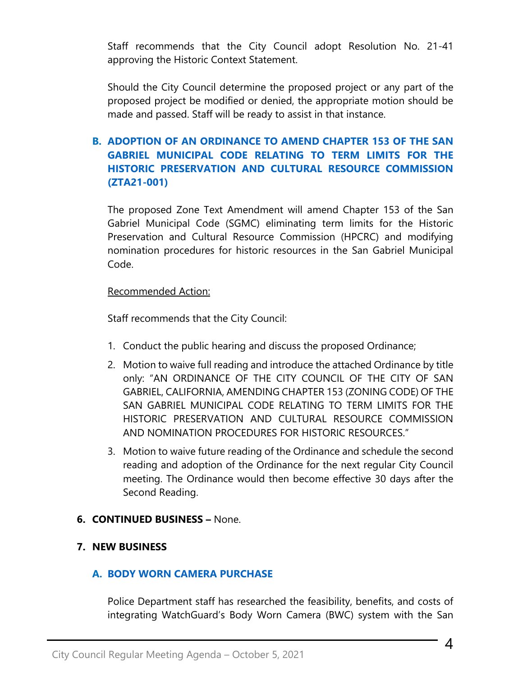Staff recommends that the City Council adopt Resolution No. 21-41 approving the Historic Context Statement.

Should the City Council determine the proposed project or any part of the proposed project be modified or denied, the appropriate motion should be made and passed. Staff will be ready to assist in that instance.

# **B. [ADOPTION OF AN ORDINANCE TO AMEND CHAPTER 153 OF THE SAN](https://www.sangabrielcity.com/DocumentCenter/View/15402/Item-5B---Adoption-of-an-Ordinance-to-Amend-Chapter-153-of-the-SGMC)  [GABRIEL MUNICIPAL CODE RELATING TO TERM LIMITS FOR THE](https://www.sangabrielcity.com/DocumentCenter/View/15402/Item-5B---Adoption-of-an-Ordinance-to-Amend-Chapter-153-of-the-SGMC)  [HISTORIC PRESERVATION AND CULTURAL RESOURCE COMMISSION](https://www.sangabrielcity.com/DocumentCenter/View/15402/Item-5B---Adoption-of-an-Ordinance-to-Amend-Chapter-153-of-the-SGMC)  [\(ZTA21-001\)](https://www.sangabrielcity.com/DocumentCenter/View/15402/Item-5B---Adoption-of-an-Ordinance-to-Amend-Chapter-153-of-the-SGMC)**

The proposed Zone Text Amendment will amend Chapter 153 of the San Gabriel Municipal Code (SGMC) eliminating term limits for the Historic Preservation and Cultural Resource Commission (HPCRC) and modifying nomination procedures for historic resources in the San Gabriel Municipal Code.

#### Recommended Action:

Staff recommends that the City Council:

- 1. Conduct the public hearing and discuss the proposed Ordinance;
- 2. Motion to waive full reading and introduce the attached Ordinance by title only: "AN ORDINANCE OF THE CITY COUNCIL OF THE CITY OF SAN GABRIEL, CALIFORNIA, AMENDING CHAPTER 153 (ZONING CODE) OF THE SAN GABRIEL MUNICIPAL CODE RELATING TO TERM LIMITS FOR THE HISTORIC PRESERVATION AND CULTURAL RESOURCE COMMISSION AND NOMINATION PROCEDURES FOR HISTORIC RESOURCES."
- 3. Motion to waive future reading of the Ordinance and schedule the second reading and adoption of the Ordinance for the next regular City Council meeting. The Ordinance would then become effective 30 days after the Second Reading.
- **6. CONTINUED BUSINESS –** None.

# **7. NEW BUSINESS**

# **A. [BODY WORN CAMERA PURCHASE](https://www.sangabrielcity.com/DocumentCenter/View/15403/Item-7A---Body-Worn-Camera-Purchase)**

Police Department staff has researched the feasibility, benefits, and costs of integrating WatchGuard's Body Worn Camera (BWC) system with the San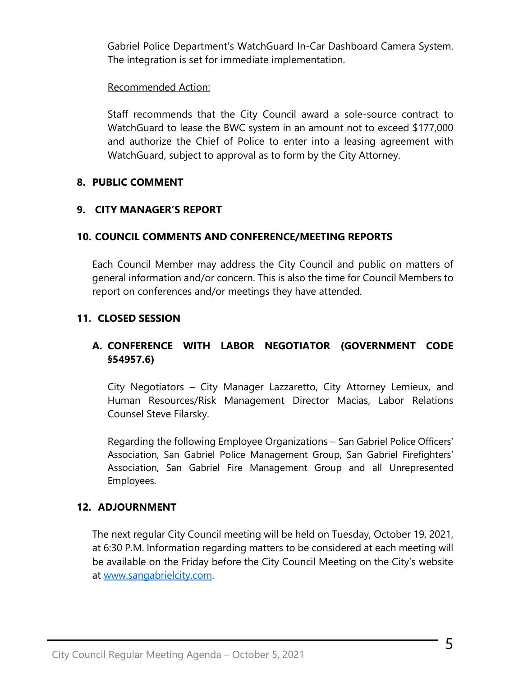Gabriel Police Department's WatchGuard In-Car Dashboard Camera System. The integration is set for immediate implementation.

## Recommended Action:

Staff recommends that the City Council award a sole-source contract to WatchGuard to lease the BWC system in an amount not to exceed \$177,000 and authorize the Chief of Police to enter into a leasing agreement with WatchGuard, subject to approval as to form by the City Attorney.

## **8. PUBLIC COMMENT**

## **9. CITY MANAGER'S REPORT**

## **10. COUNCIL COMMENTS AND CONFERENCE/MEETING REPORTS**

Each Council Member may address the City Council and public on matters of general information and/or concern. This is also the time for Council Members to report on conferences and/or meetings they have attended.

# **11. CLOSED SESSION**

# **A. CONFERENCE WITH LABOR NEGOTIATOR (GOVERNMENT CODE §54957.6)**

City Negotiators – City Manager Lazzaretto, City Attorney Lemieux, and Human Resources/Risk Management Director Macias, Labor Relations Counsel Steve Filarsky.

Regarding the following Employee Organizations – San Gabriel Police Officers' Association, San Gabriel Police Management Group, San Gabriel Firefighters' Association, San Gabriel Fire Management Group and all Unrepresented Employees.

# **12. ADJOURNMENT**

The next regular City Council meeting will be held on Tuesday, October 19, 2021, at 6:30 P.M. Information regarding matters to be considered at each meeting will be available on the Friday before the City Council Meeting on the City's website at [www.sangabrielcity.com.](http://www.sangabrielcity.com/)